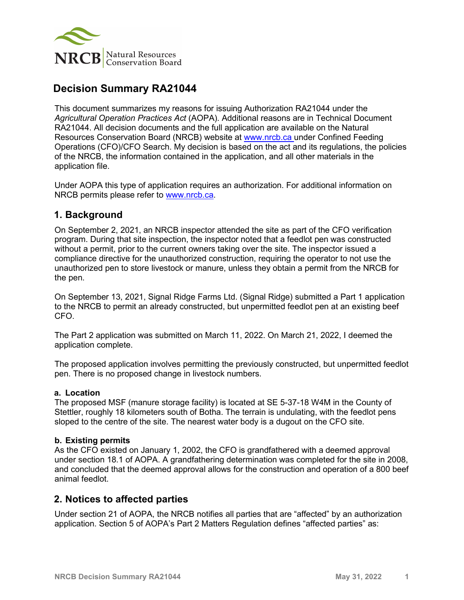

# **Decision Summary RA21044**

This document summarizes my reasons for issuing Authorization RA21044 under the *Agricultural Operation Practices Act* (AOPA). Additional reasons are in Technical Document RA21044. All decision documents and the full application are available on the Natural Resources Conservation Board (NRCB) website at [www.nrcb.ca](http://www.nrcb.ca/) under Confined Feeding Operations (CFO)/CFO Search. My decision is based on the act and its regulations, the policies of the NRCB, the information contained in the application, and all other materials in the application file.

Under AOPA this type of application requires an authorization. For additional information on NRCB permits please refer to [www.nrcb.ca.](file://NRCB-File01/nosync/Application%20Form%20Review/Decision%20Summary%20Template%2027%20April%202020/www.nrcb.ca)

### **1. Background**

On September 2, 2021, an NRCB inspector attended the site as part of the CFO verification program. During that site inspection, the inspector noted that a feedlot pen was constructed without a permit, prior to the current owners taking over the site. The inspector issued a compliance directive for the unauthorized construction, requiring the operator to not use the unauthorized pen to store livestock or manure, unless they obtain a permit from the NRCB for the pen.

On September 13, 2021, Signal Ridge Farms Ltd. (Signal Ridge) submitted a Part 1 application to the NRCB to permit an already constructed, but unpermitted feedlot pen at an existing beef CFO.

The Part 2 application was submitted on March 11, 2022. On March 21, 2022, I deemed the application complete.

The proposed application involves permitting the previously constructed, but unpermitted feedlot pen. There is no proposed change in livestock numbers.

#### **a. Location**

The proposed MSF (manure storage facility) is located at SE 5-37-18 W4M in the County of Stettler, roughly 18 kilometers south of Botha. The terrain is undulating, with the feedlot pens sloped to the centre of the site. The nearest water body is a dugout on the CFO site.

#### **b. Existing permits**

As the CFO existed on January 1, 2002, the CFO is grandfathered with a deemed approval under section 18.1 of AOPA. A grandfathering determination was completed for the site in 2008, and concluded that the deemed approval allows for the construction and operation of a 800 beef animal feedlot.

#### **2. Notices to affected parties**

Under section 21 of AOPA, the NRCB notifies all parties that are "affected" by an authorization application. Section 5 of AOPA's Part 2 Matters Regulation defines "affected parties" as: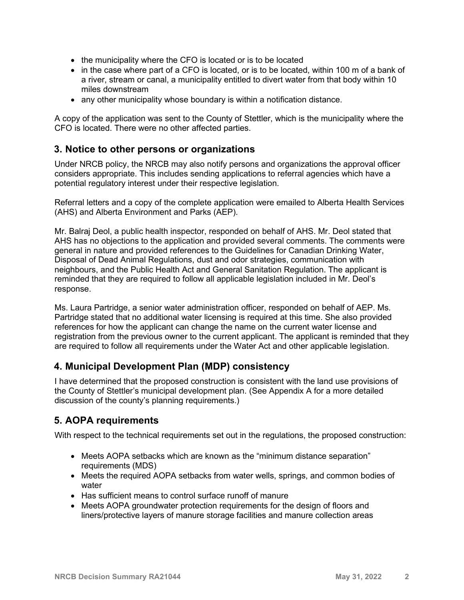- the municipality where the CFO is located or is to be located
- in the case where part of a CFO is located, or is to be located, within 100 m of a bank of a river, stream or canal, a municipality entitled to divert water from that body within 10 miles downstream
- any other municipality whose boundary is within a notification distance.

A copy of the application was sent to the County of Stettler, which is the municipality where the CFO is located. There were no other affected parties.

## **3. Notice to other persons or organizations**

Under NRCB policy, the NRCB may also notify persons and organizations the approval officer considers appropriate. This includes sending applications to referral agencies which have a potential regulatory interest under their respective legislation.

Referral letters and a copy of the complete application were emailed to Alberta Health Services (AHS) and Alberta Environment and Parks (AEP).

Mr. Balraj Deol, a public health inspector, responded on behalf of AHS. Mr. Deol stated that AHS has no objections to the application and provided several comments. The comments were general in nature and provided references to the Guidelines for Canadian Drinking Water, Disposal of Dead Animal Regulations, dust and odor strategies, communication with neighbours, and the Public Health Act and General Sanitation Regulation. The applicant is reminded that they are required to follow all applicable legislation included in Mr. Deol's response.

Ms. Laura Partridge, a senior water administration officer, responded on behalf of AEP. Ms. Partridge stated that no additional water licensing is required at this time. She also provided references for how the applicant can change the name on the current water license and registration from the previous owner to the current applicant. The applicant is reminded that they are required to follow all requirements under the Water Act and other applicable legislation.

## **4. Municipal Development Plan (MDP) consistency**

I have determined that the proposed construction is consistent with the land use provisions of the County of Stettler's municipal development plan. (See Appendix A for a more detailed discussion of the county's planning requirements.)

## **5. AOPA requirements**

With respect to the technical requirements set out in the regulations, the proposed construction:

- Meets AOPA setbacks which are known as the "minimum distance separation" requirements (MDS)
- Meets the required AOPA setbacks from water wells, springs, and common bodies of water
- Has sufficient means to control surface runoff of manure
- Meets AOPA groundwater protection requirements for the design of floors and liners/protective layers of manure storage facilities and manure collection areas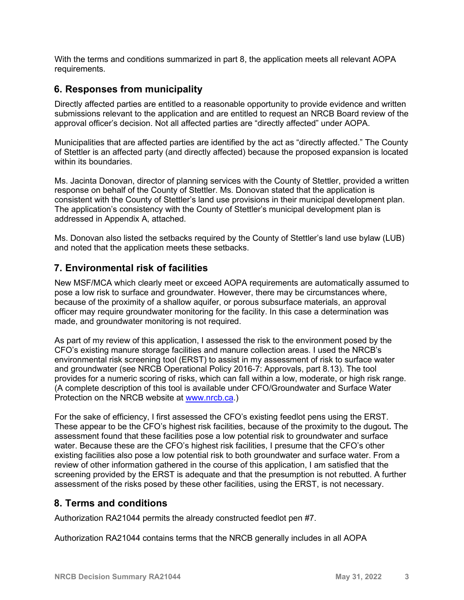With the terms and conditions summarized in part 8, the application meets all relevant AOPA requirements.

## **6. Responses from municipality**

Directly affected parties are entitled to a reasonable opportunity to provide evidence and written submissions relevant to the application and are entitled to request an NRCB Board review of the approval officer's decision. Not all affected parties are "directly affected" under AOPA.

Municipalities that are affected parties are identified by the act as "directly affected." The County of Stettler is an affected party (and directly affected) because the proposed expansion is located within its boundaries.

Ms. Jacinta Donovan, director of planning services with the County of Stettler, provided a written response on behalf of the County of Stettler. Ms. Donovan stated that the application is consistent with the County of Stettler's land use provisions in their municipal development plan. The application's consistency with the County of Stettler's municipal development plan is addressed in Appendix A, attached.

Ms. Donovan also listed the setbacks required by the County of Stettler's land use bylaw (LUB) and noted that the application meets these setbacks.

## **7. Environmental risk of facilities**

New MSF/MCA which clearly meet or exceed AOPA requirements are automatically assumed to pose a low risk to surface and groundwater. However, there may be circumstances where, because of the proximity of a shallow aquifer, or porous subsurface materials, an approval officer may require groundwater monitoring for the facility. In this case a determination was made, and groundwater monitoring is not required.

As part of my review of this application, I assessed the risk to the environment posed by the CFO's existing manure storage facilities and manure collection areas. I used the NRCB's environmental risk screening tool (ERST) to assist in my assessment of risk to surface water and groundwater (see NRCB Operational Policy 2016-7: Approvals, part 8.13). The tool provides for a numeric scoring of risks, which can fall within a low, moderate, or high risk range. (A complete description of this tool is available under CFO/Groundwater and Surface Water Protection on the NRCB website at [www.nrcb.ca.](http://www.nrcb.ca/))

For the sake of efficiency, I first assessed the CFO's existing feedlot pens using the ERST. These appear to be the CFO's highest risk facilities, because of the proximity to the dugout**.** The assessment found that these facilities pose a low potential risk to groundwater and surface water. Because these are the CFO's highest risk facilities, I presume that the CFO's other existing facilities also pose a low potential risk to both groundwater and surface water. From a review of other information gathered in the course of this application, I am satisfied that the screening provided by the ERST is adequate and that the presumption is not rebutted. A further assessment of the risks posed by these other facilities, using the ERST, is not necessary.

### **8. Terms and conditions**

Authorization RA21044 permits the already constructed feedlot pen #7.

Authorization RA21044 contains terms that the NRCB generally includes in all AOPA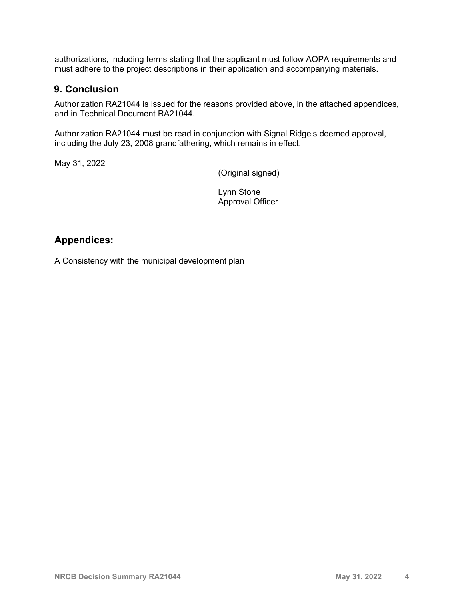authorizations, including terms stating that the applicant must follow AOPA requirements and must adhere to the project descriptions in their application and accompanying materials.

#### **9. Conclusion**

Authorization RA21044 is issued for the reasons provided above, in the attached appendices, and in Technical Document RA21044.

Authorization RA21044 must be read in conjunction with Signal Ridge's deemed approval, including the July 23, 2008 grandfathering, which remains in effect.

May 31, 2022

(Original signed)

Lynn Stone Approval Officer

## **Appendices:**

A Consistency with the municipal development plan